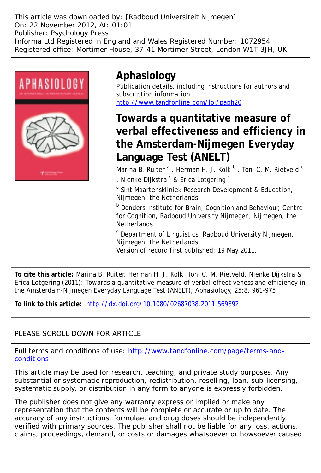This article was downloaded by: [Radboud Universiteit Nijmegen] On: 22 November 2012, At: 01:01 Publisher: Psychology Press Informa Ltd Registered in England and Wales Registered Number: 1072954 Registered office: Mortimer House, 37-41 Mortimer Street, London W1T 3JH, UK



## **Aphasiology**

Publication details, including instructions for authors and subscription information: <http://www.tandfonline.com/loi/paph20>

# **Towards a quantitative measure of verbal effectiveness and efficiency in the Amsterdam-Nijmegen Everyday Language Test (ANELT)**

Marina B. Ruiter  $^{\mathrm{a}}$  , Herman H. J. Kolk  $^{\mathrm{b}}$  , Toni C. M. Rietveld  $^{\mathrm{c}}$ , Nienke Dijkstra <sup>c</sup> & Erica Lotgering <sup>c</sup>

<sup>a</sup> Sint Maartenskliniek Research Development & Education, Nijmegen, the Netherlands

**b** Donders Institute for Brain, Cognition and Behaviour, Centre for Cognition, Radboud University Nijmegen, Nijmegen, the **Netherlands** 

<sup>c</sup> Department of Linguistics, Radboud University Nijmegen, Nijmegen, the Netherlands Version of record first published: 19 May 2011.

**To cite this article:** Marina B. Ruiter, Herman H. J. Kolk, Toni C. M. Rietveld, Nienke Dijkstra & Erica Lotgering (2011): Towards a quantitative measure of verbal effectiveness and efficiency in the Amsterdam-Nijmegen Everyday Language Test (ANELT), Aphasiology, 25:8, 961-975

**To link to this article:** <http://dx.doi.org/10.1080/02687038.2011.569892>

## PLEASE SCROLL DOWN FOR ARTICLE

Full terms and conditions of use: [http://www.tandfonline.com/page/terms-and](http://www.tandfonline.com/page/terms-and-conditions)[conditions](http://www.tandfonline.com/page/terms-and-conditions)

This article may be used for research, teaching, and private study purposes. Any substantial or systematic reproduction, redistribution, reselling, loan, sub-licensing, systematic supply, or distribution in any form to anyone is expressly forbidden.

The publisher does not give any warranty express or implied or make any representation that the contents will be complete or accurate or up to date. The accuracy of any instructions, formulae, and drug doses should be independently verified with primary sources. The publisher shall not be liable for any loss, actions, claims, proceedings, demand, or costs or damages whatsoever or howsoever caused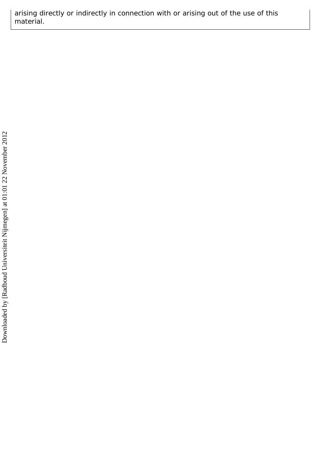arising directly or indirectly in connection with or arising out of the use of this material.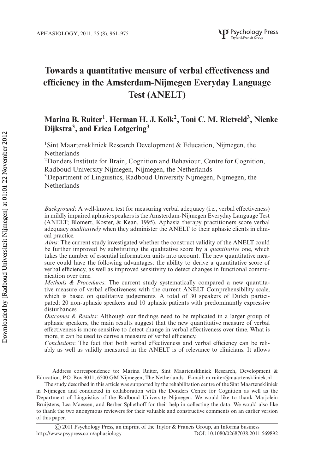## **Towards a quantitative measure of verbal effectiveness and efficiency in the Amsterdam-Nijmegen Everyday Language Test (ANELT)**

## **Marina B. Ruiter1, Herman H. J. Kolk2, Toni C. M. Rietveld3, Nienke Dijkstra3, and Erica Lotgering3**

<sup>1</sup>Sint Maartenskliniek Research Development  $\&$  Education, Nijmegen, the **Netherlands** 

2Donders Institute for Brain, Cognition and Behaviour, Centre for Cognition, Radboud University Nijmegen, Nijmegen, the Netherlands

3Department of Linguistics, Radboud University Nijmegen, Nijmegen, the Netherlands

*Background*: A well-known test for measuring verbal adequacy (i.e., verbal effectiveness) in mildly impaired aphasic speakers is the Amsterdam-Nijmegen Everyday Language Test (ANELT; Blomert, Koster, & Kean, 1995). Aphasia therapy practitioners score verbal adequacy *qualitatively* when they administer the ANELT to their aphasic clients in clinical practice.

*Aims*: The current study investigated whether the construct validity of the ANELT could be further improved by substituting the qualitative score by a *quantitative* one, which takes the number of essential information units into account. The new quantitative measure could have the following advantages: the ability to derive a quantitative score of verbal efficiency, as well as improved sensitivity to detect changes in functional communication over time.

*Methods & Procedures*: The current study systematically compared a new quantitative measure of verbal effectiveness with the current ANELT Comprehensibility scale, which is based on qualitative judgements. A total of 30 speakers of Dutch participated: 20 non-aphasic speakers and 10 aphasic patients with predominantly expressive disturbances.

*Outcomes & Results*: Although our findings need to be replicated in a larger group of aphasic speakers, the main results suggest that the new quantitative measure of verbal effectiveness is more sensitive to detect change in verbal effectiveness over time. What is more, it can be used to derive a measure of verbal efficiency.

*Conclusions*: The fact that both verbal effectiveness and verbal efficiency can be reliably as well as validly measured in the ANELT is of relevance to clinicians. It allows

Address correspondence to: Marina Ruiter, Sint Maartenskliniek Research, Development & Education, P.O. Box 9011, 6500 GM Nijmegen, The Netherlands. E-mail: m[.ruiter@maartenskliniek.nl](mailto:ruiter@maartenskliniek.nl)

The study described in this article was supported by the rehabilitation centre of the Sint Maartenskliniek in Nijmegen and conducted in collaboration with the Donders Centre for Cognition as well as the Department of Linguistics of the Radboud University Nijmegen. We would like to thank Marjolein Bruijstens, Lea Maessen, and Berber Spliethoff for their help in collecting the data. We would also like to thank the two anonymous reviewers for their valuable and constructive comments on an earlier version of this paper.

<sup>©</sup> 2011 Psychology Press, an imprint of the Taylor & Francis Group, an Informa business <http://www.psypress.com/aphasiology> DOI: 10.1080/02687038.2011.569892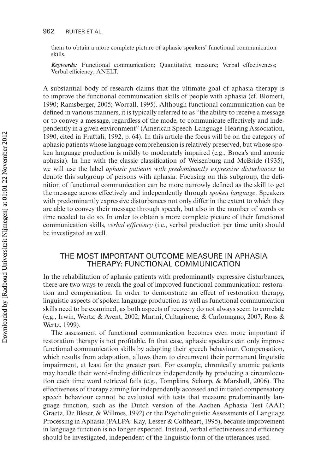them to obtain a more complete picture of aphasic speakers' functional communication skills.

*Keywords:* Functional communication; Quantitative measure; Verbal effectiveness; Verbal efficiency; ANELT.

A substantial body of research claims that the ultimate goal of aphasia therapy is to improve the functional communication skills of people with aphasia (cf. Blomert, 1990; Ramsberger, 2005; Worrall, 1995). Although functional communication can be defined in various manners, it is typically referred to as "the ability to receive a message or to convey a message, regardless of the mode, to communicate effectively and independently in a given environment" (American Speech-Language-Hearing Association, 1990, cited in Frattali, 1992, p. 64). In this article the focus will be on the category of aphasic patients whose language comprehension is relatively preserved, but whose spoken language production is mildly to moderately impaired (e.g., Broca's and anomic aphasia). In line with the classic classification of Weisenburg and McBride (1935), we will use the label *aphasic patients with predominantly expressive disturbances* to denote this subgroup of persons with aphasia. Focusing on this subgroup, the definition of functional communication can be more narrowly defined as the skill to get the message across effectively and independently through *spoken language*. Speakers with predominantly expressive disturbances not only differ in the extent to which they are able to convey their message through speech, but also in the number of words or time needed to do so. In order to obtain a more complete picture of their functional communication skills, *verbal efficiency* (i.e., verbal production per time unit) should be investigated as well.

## THE MOST IMPORTANT OUTCOME MEASURE IN APHASIA THERAPY: FUNCTIONAL COMMUNICATION

In the rehabilitation of aphasic patients with predominantly expressive disturbances, there are two ways to reach the goal of improved functional communication: restoration and compensation. In order to demonstrate an effect of restoration therapy, linguistic aspects of spoken language production as well as functional communication skills need to be examined, as both aspects of recovery do not always seem to correlate (e.g., Irwin, Wertz, & Avent, 2002; Marini, Caltagirone, & Carlomagno, 2007; Ross & Wertz, 1999).

The assessment of functional communication becomes even more important if restoration therapy is not profitable. In that case, aphasic speakers can only improve functional communication skills by adapting their speech behaviour. Compensation, which results from adaptation, allows them to circumvent their permanent linguistic impairment, at least for the greater part. For example, chronically anomic patients may handle their word-finding difficulties independently by producing a circumlocution each time word retrieval fails (e.g., Tompkins, Scharp, & Marshall, 2006). The effectiveness of therapy aiming for independently accessed and initiated compensatory speech behaviour cannot be evaluated with tests that measure predominantly language function, such as the Dutch version of the Aachen Aphasia Test (AAT; Graetz, De Bleser, & Willmes, 1992) or the Psycholinguistic Assessments of Language Processing in Aphasia (PALPA: Kay, Lesser & Coltheart, 1995), because improvement in language function is no longer expected. Instead, verbal effectiveness and efficiency should be investigated, independent of the linguistic form of the utterances used.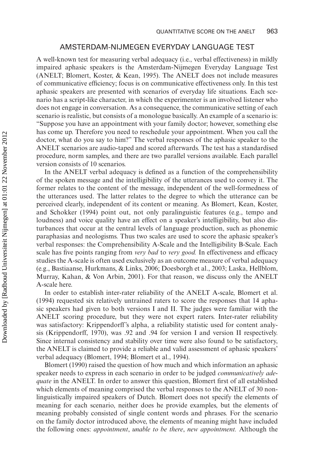### AMSTERDAM-NIJMEGEN EVERYDAY LANGUAGE TEST

A well-known test for measuring verbal adequacy (i.e., verbal effectiveness) in mildly impaired aphasic speakers is the Amsterdam-Nijmegen Everyday Language Test (ANELT; Blomert, Koster, & Kean, 1995). The ANELT does not include measures of communicative efficiency; focus is on communicative effectiveness only. In this test aphasic speakers are presented with scenarios of everyday life situations. Each scenario has a script-like character, in which the experimenter is an involved listener who does not engage in conversation. As a consequence, the communicative setting of each scenario is realistic, but consists of a monologue basically. An example of a scenario is: "Suppose you have an appointment with your family doctor; however, something else has come up. Therefore you need to reschedule your appointment. When you call the doctor, what do you say to him?" The verbal responses of the aphasic speaker to the ANELT scenarios are audio-taped and scored afterwards. The test has a standardised procedure, norm samples, and there are two parallel versions available. Each parallel version consists of 10 scenarios.

In the ANELT verbal adequacy is defined as a function of the comprehensibility of the spoken message and the intelligibility of the utterances used to convey it. The former relates to the content of the message, independent of the well-formedness of the utterances used. The latter relates to the degree to which the utterance can be perceived clearly, independent of its content or meaning. As Blomert, Kean, Koster, and Schokker (1994) point out, not only paralinguistic features (e.g., tempo and loudness) and voice quality have an effect on a speaker's intelligibility, but also disturbances that occur at the central levels of language production, such as phonemic paraphasias and neologisms. Thus two scales are used to score the aphasic speaker's verbal responses: the Comprehensibility A-Scale and the Intelligibility B-Scale. Each scale has five points ranging from *very bad* to *very good.* In effectiveness and efficacy studies the A-scale is often used exclusively as an outcome measure of verbal adequacy (e.g., Bastiaanse, Hurkmans, & Links, 2006; Doesborgh et al., 2003; Laska, Hellblom, Murray, Kahan, & Von Arbin, 2001). For that reason, we discuss only the ANELT A-scale here.

In order to establish inter-rater reliability of the ANELT A-scale, Blomert et al. (1994) requested six relatively untrained raters to score the responses that 14 aphasic speakers had given to both versions I and II. The judges were familiar with the ANELT scoring procedure, but they were not expert raters. Inter-rater reliability was satisfactory: Krippendorff's alpha, a reliability statistic used for content analysis (Krippendorff, 1970), was .92 and .94 for version I and version II respectively. Since internal consistency and stability over time were also found to be satisfactory, the ANELT is claimed to provide a reliable and valid assessment of aphasic speakers' verbal adequacy (Blomert, 1994; Blomert et al., 1994).

Blomert (1990) raised the question of how much and which information an aphasic speaker needs to express in each scenario in order to be judged *communicatively adequate* in the ANELT. In order to answer this question, Blomert first of all established which elements of meaning comprised the verbal responses to the ANELT of 30 nonlinguistically impaired speakers of Dutch. Blomert does not specify the elements of meaning for each scenario, neither does he provide examples, but the elements of meaning probably consisted of single content words and phrases. For the scenario on the family doctor introduced above, the elements of meaning might have included the following ones: *appointment*, *unable to be there*, *new appointment.* Although the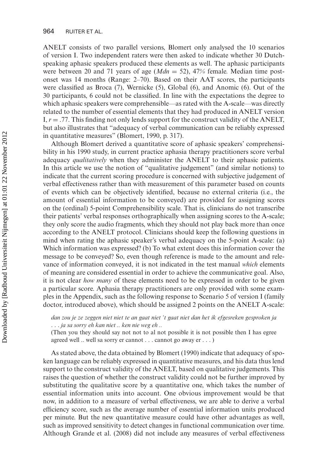ANELT consists of two parallel versions, Blomert only analysed the 10 scenarios of version I. Two independent raters were then asked to indicate whether 30 Dutchspeaking aphasic speakers produced these elements as well. The aphasic participants were between 20 and 71 years of age (*Mdn* = 52), 47*%* female. Median time postonset was 14 months (Range: 2–70). Based on their AAT scores, the participants were classified as Broca (7), Wernicke (5), Global (6), and Anomic (6). Out of the 30 participants, 6 could not be classified. In line with the expectations the degree to which aphasic speakers were comprehensible—as rated with the A-scale—was directly related to the number of essential elements that they had produced in ANELT version  $I, r = .77$ . This finding not only lends support for the construct validity of the ANELT, but also illustrates that "adequacy of verbal communication can be reliably expressed in quantitative measures" (Blomert, 1990, p. 317).

Although Blomert derived a quantitative score of aphasic speakers' comprehensibility in his 1990 study, in current practice aphasia therapy practitioners score verbal adequacy *qualitatively* when they administer the ANELT to their aphasic patients. In this article we use the notion of "qualitative judgement" (and similar notions) to indicate that the current scoring procedure is concerned with subjective judgement of verbal effectiveness rather than with measurement of this parameter based on counts of events which can be objectively identified, because no external criteria (i.e., the amount of essential information to be conveyed) are provided for assigning scores on the (ordinal) 5-point Comprehensibility scale. That is, clinicians do not transcribe their patients' verbal responses orthographically when assigning scores to the A-scale; they only score the audio fragments, which they should not play back more than once according to the ANELT protocol. Clinicians should keep the following questions in mind when rating the aphasic speaker's verbal adequacy on the 5-point A-scale: (a) Which information was expressed? (b) To what extent does this information cover the message to be conveyed? So, even though reference is made to the amount and relevance of information conveyed, it is not indicated in the test manual *which* elements of meaning are considered essential in order to achieve the communicative goal. Also, it is not clear *how many* of these elements need to be expressed in order to be given a particular score. Aphasia therapy practitioners are only provided with some examples in the Appendix, such as the following response to Scenario 5 of version I (family doctor, introduced above), which should be assigned 2 points on the ANELT A-scale:

*dan zou je ze zeggen niet niet te an gaat niet 't gaat niet dan het ik efgesreken gesproken ja* ... *ja sa sorry eh kan niet .. ken nie weg eh ..*

(Then you they should say not not to al not possible it is not possible then I has egree agreed well .. well sa sorry er cannot ... cannot go away er ... )

As stated above, the data obtained by Blomert (1990) indicate that adequacy of spoken language can be reliably expressed in quantitative measures, and his data thus lend support to the construct validity of the ANELT, based on qualitative judgements. This raises the question of whether the construct validity could not be further improved by substituting the qualitative score by a quantitative one, which takes the number of essential information units into account. One obvious improvement would be that now, in addition to a measure of verbal effectiveness, we are able to derive a verbal efficiency score, such as the average number of essential information units produced per minute. But the new quantitative measure could have other advantages as well, such as improved sensitivity to detect changes in functional communication over time. Although Grande et al. (2008) did not include any measures of verbal effectiveness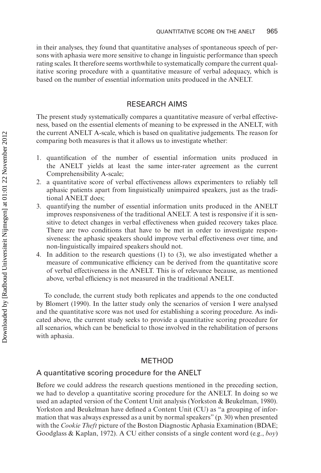in their analyses, they found that quantitative analyses of spontaneous speech of persons with aphasia were more sensitive to change in linguistic performance than speech rating scales. It therefore seems worthwhile to systematically compare the current qualitative scoring procedure with a quantitative measure of verbal adequacy, which is based on the number of essential information units produced in the ANELT.

## RESEARCH AIMS

The present study systematically compares a quantitative measure of verbal effectiveness, based on the essential elements of meaning to be expressed in the ANELT, with the current ANELT A-scale, which is based on qualitative judgements. The reason for comparing both measures is that it allows us to investigate whether:

- 1. quantification of the number of essential information units produced in the ANELT yields at least the same inter-rater agreement as the current Comprehensibility A-scale;
- 2. a quantitative score of verbal effectiveness allows experimenters to reliably tell aphasic patients apart from linguistically unimpaired speakers, just as the traditional ANELT does;
- 3. quantifying the number of essential information units produced in the ANELT improves responsiveness of the traditional ANELT. A test is responsive if it is sensitive to detect changes in verbal effectiveness when guided recovery takes place. There are two conditions that have to be met in order to investigate responsiveness: the aphasic speakers should improve verbal effectiveness over time, and non-linguistically impaired speakers should not.
- 4. In addition to the research questions (1) to (3), we also investigated whether a measure of communicative efficiency can be derived from the quantitative score of verbal effectiveness in the ANELT. This is of relevance because, as mentioned above, verbal efficiency is not measured in the traditional ANELT.

To conclude, the current study both replicates and appends to the one conducted by Blomert (1990). In the latter study only the scenarios of version I were analysed and the quantitative score was not used for establishing a scoring procedure. As indicated above, the current study seeks to provide a quantitative scoring procedure for all scenarios, which can be beneficial to those involved in the rehabilitation of persons with aphasia.

#### METHOD

#### A quantitative scoring procedure for the ANELT

Before we could address the research questions mentioned in the preceding section, we had to develop a quantitative scoring procedure for the ANELT. In doing so we used an adapted version of the Content Unit analysis (Yorkston & Beukelman, 1980). Yorkston and Beukelman have defined a Content Unit (CU) as "a grouping of information that was always expressed as a unit by normal speakers" (p. 30) when presented with the *Cookie Theft* picture of the Boston Diagnostic Aphasia Examination (BDAE; Goodglass & Kaplan, 1972). A CU either consists of a single content word (e.g., *boy*)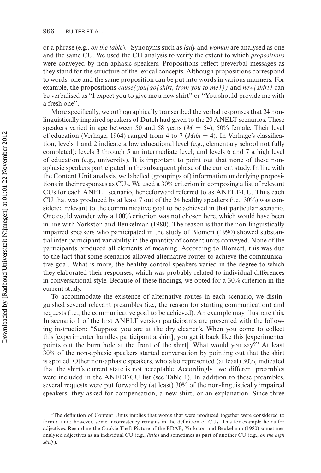or a phrase (e.g., *on the table*).<sup>1</sup> Synonyms such as *lady* and *woman* are analysed as one and the same CU. We used the CU analysis to verify the extent to which *propositions* were conveyed by non-aphasic speakers. Propositions reflect preverbal messages as they stand for the structure of the lexical concepts. Although propositions correspond to words, one and the same proposition can be put into words in various manners. For example, the propositions *cause(you(go(shirt, from you to me)))* and *new(shirt)* can be verbalised as "I expect you to give me a new shirt" or "You should provide me with a fresh one".

More specifically, we orthographically transcribed the verbal responses that 24 nonlinguistically impaired speakers of Dutch had given to the 20 ANELT scenarios. These speakers varied in age between 50 and 58 years  $(M = 54)$ , 50% female. Their level of education (Verhage, 1964) ranged from 4 to 7 ( $Mdn = 4$ ). In Verhage's classification, levels 1 and 2 indicate a low educational level (e.g., elementary school not fully completed); levels 3 through 5 an intermediate level; and levels 6 and 7 a high level of education (e.g., university). It is important to point out that none of these nonaphasic speakers participated in the subsequent phase of the current study. In line with the Content Unit analysis, we labelled (groupings of) information underlying propositions in their responses as CUs. We used a 30% criterion in composing a list of relevant CUs for each ANELT scenario, henceforward referred to as ANELT-CU. Thus each CU that was produced by at least 7 out of the 24 healthy speakers (i.e.,  $30\%$ ) was considered relevant to the communicative goal to be achieved in that particular scenario. One could wonder why a 100% criterion was not chosen here, which would have been in line with Yorkston and Beukelman (1980). The reason is that the non-linguistically impaired speakers who participated in the study of Blomert (1990) showed substantial inter-participant variability in the quantity of content units conveyed. None of the participants produced all elements of meaning. According to Blomert, this was due to the fact that some scenarios allowed alternative routes to achieve the communicative goal. What is more, the healthy control speakers varied in the degree to which they elaborated their responses, which was probably related to individual differences in conversational style. Because of these findings, we opted for a 30% criterion in the current study.

To accommodate the existence of alternative routes in each scenario, we distinguished several relevant preambles (i.e., the reason for starting communication) and requests (i.e., the communicative goal to be achieved). An example may illustrate this. In scenario 1 of the first ANELT version participants are presented with the following instruction: "Suppose you are at the dry cleaner's. When you come to collect this [experimenter handles participant a shirt], you get it back like this [experimenter points out the burn hole at the front of the shirt]. What would you say?" At least 30% of the non-aphasic speakers started conversation by pointing out that the shirt is spoiled. Other non-aphasic speakers, who also represented (at least) 30%, indicated that the shirt's current state is not acceptable. Accordingly, two different preambles were included in the ANELT-CU list (see Table 1). In addition to these preambles, several requests were put forward by (at least) 30% of the non-linguistically impaired speakers: they asked for compensation, a new shirt, or an explanation. Since three

<sup>&</sup>lt;sup>1</sup>The definition of Content Units implies that words that were produced together were considered to form a unit; however, some inconsistency remains in the definition of CUs. This for example holds for adjectives. Regarding the Cookie Theft Picture of the BDAE, Yorkston and Beukelman (1980) sometimes analysed adjectives as an individual CU (e.g., *little*) and sometimes as part of another CU (e.g., *on the high shelf*).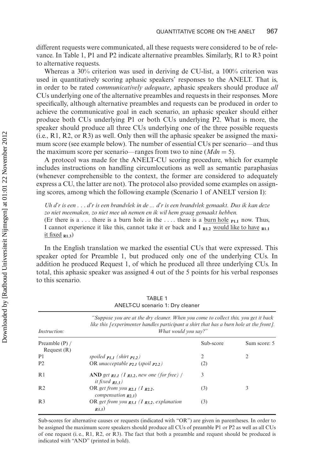different requests were communicated, all these requests were considered to be of relevance. In Table 1, P1 and P2 indicate alternative preambles. Similarly, R1 to R3 point to alternative requests.

Whereas a 30% criterion was used in deriving de CU-list, a 100% criterion was used in quantitatively scoring aphasic speakers' responses to the ANELT. That is, in order to be rated *communicatively adequate*, aphasic speakers should produce *all* CUs underlying one of the alternative preambles and requests in their responses. More specifically, although alternative preambles and requests can be produced in order to achieve the communicative goal in each scenario, an aphasic speaker should either produce both CUs underlying P1 or both CUs underlying P2. What is more, the speaker should produce all three CUs underlying one of the three possible requests (i.e., R1, R2, or R3) as well. Only then will the aphasic speaker be assigned the maximum score (see example below). The number of essential CUs per scenario—and thus the maximum score per scenario—ranges from two to nine  $(Mdn = 5)$ .

A protocol was made for the ANELT-CU scoring procedure, which for example includes instructions on handling circumlocutions as well as semantic paraphasias (whenever comprehensible to the context, the former are considered to adequately express a CU, the latter are not). The protocol also provided some examples on assigning scores, among which the following example (Scenario 1 of ANELT version I):

*Uh d'r is een* ... *d'r is een brandvlek in de ... d'r is een brandvlek gemaakt. Dus ik kan deze zo niet meemaken, zo niet mee uh nemen en ik wil hem graag gemaakt hebben.* (Er there is a ... there is a burn hole in the .... there is a  $\frac{\text{burn hole}}{\text{P1.1}}$  now. Thus, I cannot experience it like this, cannot take it er back and I **R1.2** would like to have **R1.1** it fixed **R1.3**)

In the English translation we marked the essential CUs that were expressed. This speaker opted for Preamble 1, but produced only one of the underlying CUs. In addition he produced Request 1, of which he produced all three underlying CUs. In total, this aphasic speaker was assigned 4 out of the 5 points for his verbal responses to this scenario.

| <i>Instruction:</i>               | "Suppose you are at the dry cleaner. When you come to collect this, you get it back<br>like this (experimenter handles participant a shirt that has a burn hole at the front).<br>What would you say?" |           |              |  |  |  |
|-----------------------------------|--------------------------------------------------------------------------------------------------------------------------------------------------------------------------------------------------------|-----------|--------------|--|--|--|
| Preamble $(P)$ /<br>Request $(R)$ |                                                                                                                                                                                                        | Sub-score | Sum score: 5 |  |  |  |
| P1                                | spoiled $p_{1,1}$ (shirt $p_{1,2}$ )                                                                                                                                                                   | 2         |              |  |  |  |
| P <sub>2</sub>                    | OR unacceptable $p_{2,1}$ (spoil $p_{2,2}$ )                                                                                                                                                           | (2)       |              |  |  |  |
| R1                                | AND get $_{R1.1}$ (I $_{R1.2}$ , new one (for free) /<br>it fixed $_{R13}$ )                                                                                                                           | 3         |              |  |  |  |
| R <sub>2</sub>                    | OR get from you $R2.1$ (1 $R2.2$ )<br>compensation $R_{2,3}$ )                                                                                                                                         | (3)       | 3            |  |  |  |
| R <sub>3</sub>                    | OR get from you $_{R3.1}$ (1 $_{R3.2}$ , explanation<br>R3.3)                                                                                                                                          | (3)       |              |  |  |  |

TABLE 1 ANELT-CU scenario 1: Dry cleaner

Sub-scores for alternative causes or requests (indicated with "OR") are given in parentheses. In order to be assigned the maximum score speakers should produce all CUs of preamble P1 or P2 as well as all CUs of one request (i. e., R1, R2, or R3). The fact that both a preamble and request should be produced is indicated with "AND" (printed in bold).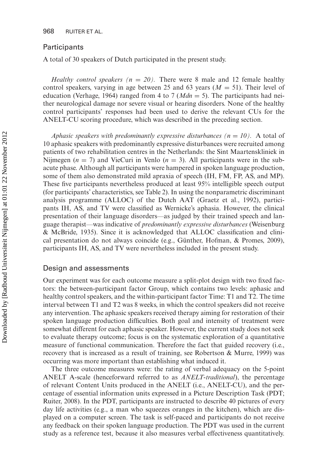#### **Participants**

A total of 30 speakers of Dutch participated in the present study.

*Healthy control speakers (* $n = 20$ *).* There were 8 male and 12 female healthy control speakers, varying in age between 25 and 63 years  $(M = 51)$ . Their level of education (Verhage, 1964) ranged from 4 to 7 ( $Mdn = 5$ ). The participants had neither neurological damage nor severe visual or hearing disorders. None of the healthy control participants' responses had been used to derive the relevant CUs for the ANELT-CU scoring procedure, which was described in the preceding section.

*Aphasic speakers with predominantly expressive disturbances*  $(n = 10)$ *.* A total of 10 aphasic speakers with predominantly expressive disturbances were recruited among patients of two rehabilitation centres in the Netherlands: the Sint Maartenskliniek in Nijmegen  $(n = 7)$  and VieCuri in Venlo  $(n = 3)$ . All participants were in the subacute phase. Although all participants were hampered in spoken language production, some of them also demonstrated mild apraxia of speech (IH, FM, FP, AS, and MP). These five participants nevertheless produced at least 95% intelligible speech output (for participants' characteristics, see Table 2). In using the nonparametric discriminant analysis programme (ALLOC) of the Dutch AAT (Graetz et al., 1992), participants IH, AS, and TV were classified as Wernicke's aphasia. However, the clinical presentation of their language disorders—as judged by their trained speech and language therapist—was indicative of *predominantly expressive disturbances* (Weisenburg & McBride, 1935). Since it is acknowledged that ALLOC classification and clinical presentation do not always coincide (e.g., Günther, Hofman, & Promes, 2009), participants IH, AS, and TV were nevertheless included in the present study.

#### Design and assessments

Our experiment was for each outcome measure a split-plot design with two fixed factors: the between-participant factor Group, which contains two levels: aphasic and healthy control speakers, and the within-participant factor Time: T1 and T2. The time interval between T1 and T2 was 8 weeks, in which the control speakers did not receive any intervention. The aphasic speakers received therapy aiming for restoration of their spoken language production difficulties. Both goal and intensity of treatment were somewhat different for each aphasic speaker. However, the current study does not seek to evaluate therapy outcome; focus is on the systematic exploration of a quantitative measure of functional communication. Therefore the fact that guided recovery (i.e., recovery that is increased as a result of training, see Robertson & Murre, 1999) was occurring was more important than establishing what induced it.

The three outcome measures were: the rating of verbal adequacy on the 5-point ANELT A-scale (henceforward referred to as *ANELT-traditional*), the percentage of relevant Content Units produced in the ANELT (i.e., ANELT-CU), and the percentage of essential information units expressed in a Picture Description Task (PDT; Ruiter, 2008). In the PDT, participants are instructed to describe 40 pictures of every day life activities (e.g., a man who squeezes oranges in the kitchen), which are displayed on a computer screen. The task is self-paced and participants do not receive any feedback on their spoken language production. The PDT was used in the current study as a reference test, because it also measures verbal effectiveness quantitatively.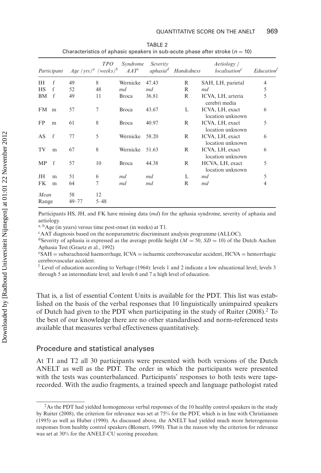|               | Participant  | Age $(vrs)^a$ (weeks) <sup>b</sup> | <i>TPO</i>     | Syndrome<br>AAT <sup>c</sup> | Severity<br>aphasia <sup>d</sup> | Handedness | Aetiology /<br>localisation <sup>e</sup> | <i>Education</i> |
|---------------|--------------|------------------------------------|----------------|------------------------------|----------------------------------|------------|------------------------------------------|------------------|
| <b>IH</b>     | f            | 49                                 | 8              | Wernicke                     | 47.43                            | R          | SAH, LH, parietal                        | $\overline{4}$   |
| <b>HS</b>     | f            | 52                                 | 48             | md                           | md                               | R          | md                                       | 5                |
| <b>BM</b>     | f            | 49                                 | 11             | <b>Broca</b>                 | 36.81                            | R          | ICVA, LH, arteria<br>cerebri media       | 5                |
| FM -          | m            | 57                                 | 7              | <b>Broca</b>                 | 43.67                            | L          | ICVA, LH, exact<br>location unknown      | 6                |
| FP            | m            | 61                                 | 8              | <b>Broca</b>                 | 40.97                            | R          | ICVA, LH, exact<br>location unknown      | 5                |
| <b>AS</b>     | $\mathsf{f}$ | 77                                 | 5              | Wernicke                     | 58.20                            | R          | ICVA, LH, exact<br>location unknown      | 6                |
| TV            | m            | 67                                 | 8              | Wernicke                     | 51.63                            | R          | ICVA, LH, exact<br>location unknown      | 6                |
| <b>MP</b>     | f            | 57                                 | 10             | <b>Broca</b>                 | 44.38                            | R          | HCVA, LH, exact<br>location unknown      | 5                |
| JH            | m            | 51                                 | 6              | md                           | md                               | L          | md                                       | 5                |
| <b>FK</b>     | m            | 64                                 | 7              | md                           | md                               | R          | md                                       | $\overline{4}$   |
| Mean<br>Range |              | 58<br>$49 - 77$                    | 12<br>$5 - 48$ |                              |                                  |            |                                          |                  |

TABLE 2 Characteristics of aphasic speakers in sub-acute phase after stroke  $(n = 10)$ 

Participants HS, JH, and FK have missing data (*md*) for the aphasia syndrome, severity of aphasia and aetiology.

a, bAge (in years) versus time post-onset (in weeks) at T1.

cAAT diagnosis based on the nonparametric discriminant analysis programme (ALLOC).

<sup>d</sup>Severity of aphasia is expressed as the average profile height ( $M = 50$ ,  $SD = 10$ ) of the Dutch Aachen Aphasia Test (Graetz et al., 1992)

 $e$ SAH = subarachnoid haemorrhage, ICVA = ischaemic cerebrovascular accident, HCVA = hemorrhagic cerebrovascular accident.

<sup>f</sup> Level of education according to Verhage (1964): levels 1 and 2 indicate a low educational level; levels 3 through 5 an intermediate level; and levels 6 and 7 a high level of education.

That is, a list of essential Content Units is available for the PDT. This list was established on the basis of the verbal responses that 10 linguistically unimpaired speakers of Dutch had given to the PDT when participating in the study of Ruiter (2008).<sup>2</sup> To the best of our knowledge there are no other standardised and norm-referenced tests available that measures verbal effectiveness quantitatively.

#### Procedure and statistical analyses

At T1 and T2 all 30 participants were presented with both versions of the Dutch ANELT as well as the PDT. The order in which the participants were presented with the tests was counterbalanced. Participants' responses to both tests were taperecorded. With the audio fragments, a trained speech and language pathologist rated

<sup>&</sup>lt;sup>2</sup>As the PDT had yielded homogeneous verbal responses of the 10 healthy control speakers in the study by Ruiter (2008), the criterion for relevance was set at 75% for the PDT, which is in line with Christiansen (1995) as well as Huber (1990). As discussed above, the ANELT had yielded much more heterogeneous responses from healthy control speakers (Blomert, 1990). That is the reason why the criterion for relevance was set at 30% for the ANELT-CU scoring procedure.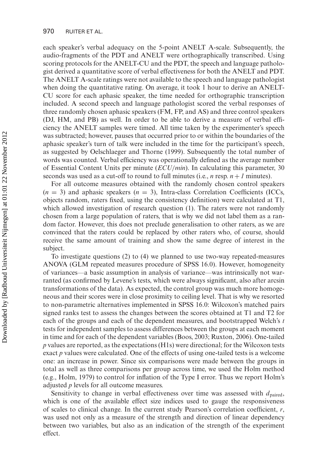each speaker's verbal adequacy on the 5-point ANELT A-scale. Subsequently, the audio-fragments of the PDT and ANELT were orthographically transcribed. Using scoring protocols for the ANELT-CU and the PDT, the speech and language pathologist derived a quantitative score of verbal effectiveness for both the ANELT and PDT. The ANELT A-scale ratings were not available to the speech and language pathologist when doing the quantitative rating. On average, it took 1 hour to derive an ANELT-CU score for each aphasic speaker, the time needed for orthographic transcription included. A second speech and language pathologist scored the verbal responses of three randomly chosen aphasic speakers (FM, FP, and AS) and three control speakers (DJ, HM, and PB) as well. In order to be able to derive a measure of verbal efficiency the ANELT samples were timed. All time taken by the experimenter's speech was subtracted; however, pauses that occurred prior to or within the boundaries of the aphasic speaker's turn of talk were included in the time for the participant's speech, as suggested by Oelschlaeger and Thorne (1999). Subsequently the total number of words was counted. Verbal efficiency was operationally defined as the average number of Essential Content Units per minute (*ECU*/*min*). In calculating this parameter, 30 seconds was used as a cut-off to round to full minutes (i.e., *n* resp.  $n + 1$  minutes).

For all outcome measures obtained with the randomly chosen control speakers  $(n = 3)$  and aphasic speakers  $(n = 3)$ , Intra-class Correlation Coefficients (ICCs, objects random, raters fixed, using the consistency definition) were calculated at T1, which allowed investigation of research question (1). The raters were not randomly chosen from a large population of raters, that is why we did not label them as a random factor. However, this does not preclude generalisation to other raters, as we are convinced that the raters could be replaced by other raters who, of course, should receive the same amount of training and show the same degree of interest in the subject.

To investigate questions (2) to (4) we planned to use two-way repeated-measures ANOVA (GLM repeated measures procedure of SPSS 16.0). However, homogeneity of variances—a basic assumption in analysis of variance—was intrinsically not warranted (as confirmed by Levene's tests, which were always significant, also after arcsin transformations of the data). As expected, the control group was much more homogeneous and their scores were in close proximity to ceiling level. That is why we resorted to non-parametric alternatives implemented in SPSS 16.0: Wilcoxon's matched pairs signed ranks test to assess the changes between the scores obtained at T1 and T2 for each of the groups and each of the dependent measures, and bootstrapped Welch's *t* tests for independent samples to assess differences between the groups at each moment in time and for each of the dependent variables (Boos, 2003; Ruxton, 2006). One-tailed *p* values are reported, as the expectations (H1s) were directional; for the Wilcoxon tests exact *p* values were calculated. One of the effects of using one-tailed tests is a welcome one: an increase in power. Since six comparisons were made between the groups in total as well as three comparisons per group across time, we used the Holm method (e.g., Holm, 1979) to control for inflation of the Type I error. Thus we report Holm's adjusted *p* levels for all outcome measures.

Sensitivity to change in verbal effectiveness over time was assessed with  $d_{\text{paired}}$ , which is one of the available effect size indices used to gauge the responsiveness of scales to clinical change. In the current study Pearson's correlation coefficient, *r*, was used not only as a measure of the strength and direction of linear dependency between two variables, but also as an indication of the strength of the experiment effect.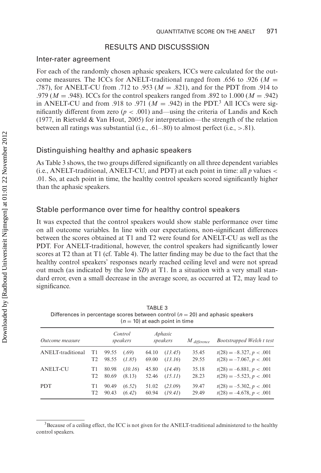#### RESULTS AND DISCUSSSION

#### Inter-rater agreement

For each of the randomly chosen aphasic speakers, ICCs were calculated for the outcome measures. The ICCs for ANELT-traditional ranged from .656 to .926 ( $M =$ .787), for ANELT-CU from .712 to .953 (*M* = .821), and for the PDT from .914 to .979 (*M* = .948). ICCs for the control speakers ranged from .892 to 1.000 (*M* = .942) in ANELT-CU and from .918 to .971 ( $M = .942$ ) in the PDT.<sup>3</sup> All ICCs were significantly different from zero ( $p < .001$ ) and—using the criteria of Landis and Koch (1977, in Rietveld & Van Hout, 2005) for interpretation—the strength of the relation between all ratings was substantial (i.e., .61–.80) to almost perfect (i.e., >.81).

### Distinguishing healthy and aphasic speakers

As Table 3 shows, the two groups differed significantly on all three dependent variables (i.e., ANELT-traditional, ANELT-CU, and PDT) at each point in time: all *p* values < .01. So, at each point in time, the healthy control speakers scored significantly higher than the aphasic speakers.

#### Stable performance over time for healthy control speakers

It was expected that the control speakers would show stable performance over time on all outcome variables. In line with our expectations, non-significant differences between the scores obtained at T1 and T2 were found for ANELT-CU as well as the PDT. For ANELT-traditional, however, the control speakers had significantly lower scores at T2 than at T1 (cf. Table 4). The latter finding may be due to the fact that the healthy control speakers' responses nearly reached ceiling level and were not spread out much (as indicated by the low *SD*) at T1. In a situation with a very small standard error, even a small decrease in the average score, as occurred at T2, may lead to significance.

| Outcome measure   |                | Control<br>speakers |         | <i>Aphasic</i><br>speakers |         | $M$ difference | Bootstrapped Welch t test  |
|-------------------|----------------|---------------------|---------|----------------------------|---------|----------------|----------------------------|
| ANELT-traditional | Τ1             | 99.55               | (.69)   | 64.10                      | (13.45) | 35.45          | $t(28) = -8.327, p < .001$ |
|                   | T2             | 98.55               | (1.85)  | 69.00                      | (13.16) | 29.55          | $t(28) = -7.067, p < .001$ |
| <b>ANELT-CU</b>   | Τ1             | 80.98               | (10.16) | 45.80                      | (14.48) | 35.18          | $t(28) = -6.881, p < .001$ |
|                   | T <sub>2</sub> | 80.69               | (8.13)  | 52.46                      | (15.11) | 28.23          | $t(28) = -5.523, p < .001$ |
| <b>PDT</b>        | T1             | 90.49               | (6.52)  | 51.02                      | (23.09) | 39.47          | $t(28) = -5.302, p < .001$ |
|                   | T2             | 90.43               | (6.42)  | 60.94                      | (19.41) | 29.49          | $t(28) = -4.678, p < .001$ |

TABLE 3 Differences in percentage scores between control (*n* = 20) and aphasic speakers  $(n = 10)$  at each point in time

<sup>&</sup>lt;sup>3</sup>Because of a ceiling effect, the ICC is not given for the ANELT-traditional administered to the healthy control speakers.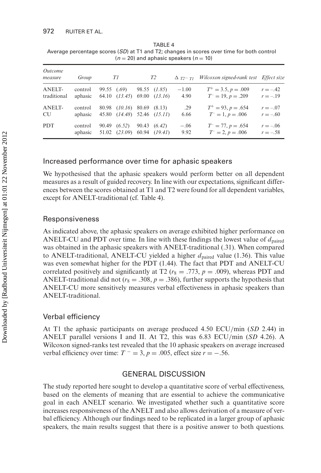| <i>Outcome</i><br>measure | Group              | T1                                   | T <sub>2</sub>                                          | $\Delta T$ $T$  | Wilcoxon signed-rank test Effect size         |                          |
|---------------------------|--------------------|--------------------------------------|---------------------------------------------------------|-----------------|-----------------------------------------------|--------------------------|
| ANELT-<br>traditional     | control<br>aphasic | 99.55 (.69)<br>$64.10$ $(13.45)$     | 98.55 (1.85)<br>69.00<br>(13.16)                        | $-1.00$<br>4.90 | $T^+=3.5, p=.009$<br>$T^- = 19, p = .209$     | $r = -.42$<br>$r = -.19$ |
| ANELT-<br><b>CU</b>       | control<br>aphasic | 80.98                                | $(10.16)$ 80.69 $(8.13)$<br>45.80 (14.48) 52.46 (15.11) | .29<br>6.66     | $T^+=93, p=.654$<br>$T^- = 1, p = .006$       | $r = -.07$<br>$r = -.60$ |
| <b>PDT</b>                | control<br>aphasic | (6.52)<br>90.49<br>$51.02$ $(23.09)$ | 90.43 (6.42)<br>60.94<br>(19.41)                        | $-.06$<br>9.92  | $T^-$ = 77, $p = .654$<br>$T^- = 2, p = .006$ | $r = -.06$<br>$r = -.58$ |

TABLE 4 Average percentage scores (*SD*) at T1 and T2; changes in scores over time for both control  $(n = 20)$  and aphasic speakers  $(n = 10)$ 

## Increased performance over time for aphasic speakers

We hypothesised that the aphasic speakers would perform better on all dependent measures as a result of guided recovery. In line with our expectations, significant differences between the scores obtained at T1 and T2 were found for all dependent variables, except for ANELT-traditional (cf. Table 4).

## Responsiveness

As indicated above, the aphasic speakers on average exhibited higher performance on ANELT-CU and PDT over time. In line with these findings the lowest value of  $d_{\text{paired}}$ was obtained in the aphasic speakers with ANELT-traditional (.31). When compared to ANELT-traditional, ANELT-CU yielded a higher  $d_{\text{paired}}$  value (1.36). This value was even somewhat higher for the PDT (1.44). The fact that PDT and ANELT-CU correlated positively and significantly at T2 ( $r_8 = .773$ ,  $p = .009$ ), whereas PDT and ANELT-traditional did not ( $r_8 = .308$ ,  $p = .386$ ), further supports the hypothesis that ANELT-CU more sensitively measures verbal effectiveness in aphasic speakers than ANELT-traditional.

## Verbal efficiency

At T1 the aphasic participants on average produced 4.50 ECU/min (*SD* 2.44) in ANELT parallel versions I and II. At T2, this was 6.83 ECU/min (*SD* 4.26). A Wilcoxon signed-ranks test revealed that the 10 aphasic speakers on average increased verbal efficiency over time:  $T = 3$ ,  $p = .005$ , effect size  $r = -.56$ .

## GENERAL DISCUSSION

The study reported here sought to develop a quantitative score of verbal effectiveness, based on the elements of meaning that are essential to achieve the communicative goal in each ANELT scenario. We investigated whether such a quantitative score increases responsiveness of the ANELT and also allows derivation of a measure of verbal efficiency. Although our findings need to be replicated in a larger group of aphasic speakers, the main results suggest that there is a positive answer to both questions.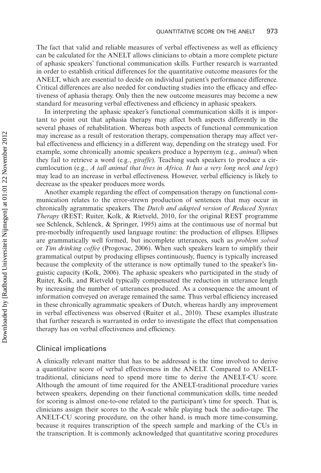The fact that valid and reliable measures of verbal effectiveness as well as efficiency can be calculated for the ANELT allows clinicians to obtain a more complete picture of aphasic speakers' functional communication skills. Further research is warranted in order to establish critical differences for the quantitative outcome measures for the ANELT, which are essential to decide on individual patient's performance difference. Critical differences are also needed for conducting studies into the efficacy and effectiveness of aphasia therapy. Only then the new outcome measures may become a new standard for measuring verbal effectiveness and efficiency in aphasic speakers.

In interpreting the aphasic speaker's functional communication skills it is important to point out that aphasia therapy may affect both aspects differently in the several phases of rehabilitation. Whereas both aspects of functional communication may increase as a result of restoration therapy, compensation therapy may affect verbal effectiveness and efficiency in a different way, depending on the strategy used. For example, some chronically anomic speakers produce a hypernym (e.g., *animal*) when they fail to retrieve a word (e.g., *giraffe*). Teaching such speakers to produce a circumlocution (e.g., *A tall animal that lives in Africa. It has a very long neck and legs*) may lead to an increase in verbal effectiveness. However, verbal efficiency is likely to decrease as the speaker produces more words.

Another example regarding the effect of compensation therapy on functional communication relates to the error-strewn production of sentences that may occur in chronically agrammatic speakers. The *Dutch and adapted version of Reduced Syntax Therapy* (REST; Ruiter, Kolk, & Rietveld, 2010, for the original REST programme see Schlenck, Schlenck, & Springer, 1995) aims at the continuous use of normal but pre-morbidly infrequently used language routine: the production of ellipses. Ellipses are grammatically well formed, but incomplete utterances, such as *problem solved* or *Tim drinking coffee* (Progovac, 2006). When such speakers learn to simplify their grammatical output by producing ellipses continuously, fluency is typically increased because the complexity of the utterance is now optimally tuned to the speaker's linguistic capacity (Kolk, 2006). The aphasic speakers who participated in the study of Ruiter, Kolk, and Rietveld typically compensated the reduction in utterance length by increasing the number of utterances produced. As a consequence the amount of information conveyed on average remained the same. Thus verbal efficiency increased in these chronically agrammatic speakers of Dutch, whereas hardly any improvement in verbal effectiveness was observed (Ruiter et al., 2010). These examples illustrate that further research is warranted in order to investigate the effect that compensation therapy has on verbal effectiveness and efficiency.

#### Clinical implications

A clinically relevant matter that has to be addressed is the time involved to derive a quantitative score of verbal effectiveness in the ANELT. Compared to ANELTtraditional, clinicians need to spend more time to derive the ANELT-CU score. Although the amount of time required for the ANELT-traditional procedure varies between speakers, depending on their functional communication skills, time needed for scoring is almost one-to-one related to the participant's time for speech. That is, clinicians assign their scores to the A-scale while playing back the audio-tape. The ANELT-CU scoring procedure, on the other hand, is much more time-consuming, because it requires transcription of the speech sample and marking of the CUs in the transcription. It is commonly acknowledged that quantitative scoring procedures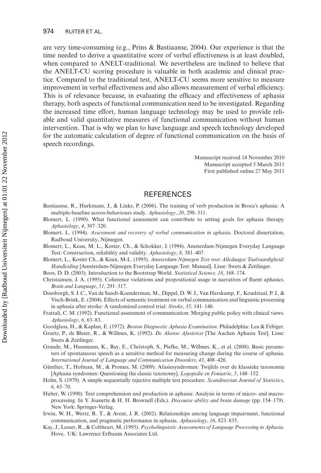are very time-consuming (e.g., Prins & Bastiaanse, 2004). Our experience is that the time needed to derive a quantitative score of verbal effectiveness is at least doubled, when compared to ANELT-traditional. We nevertheless are inclined to believe that the ANELT-CU scoring procedure is valuable in both academic and clinical practice. Compared to the traditional test, ANELT-CU seems more sensitive to measure improvement in verbal effectiveness and also allows measurement of verbal efficiency. This is of relevance because, in evaluating the efficacy and effectiveness of aphasia therapy, both aspects of functional communication need to be investigated. Regarding the increased time effort, human language technology may be used to provide reliable and valid quantitative measures of functional communication without human intervention. That is why we plan to have language and speech technology developed for the automatic calculation of degree of functional communication on the basis of speech recordings.

> Manuscript received 14 November 2010 Manuscript accepted 5 March 2011 First published online 27 May 2011

## **REFERENCES**

- Bastiaanse, R., Hurkmans, J., & Links, P. (2006). The training of verb production in Broca's aphasia: A multiple-baseline across-behaviours study. *Aphasiology*, *20*, 298–311.
- Blomert, L. (1990). What functional assessment can contribute to setting goals for aphasia therapy. *Aphasiology*, *4*, 307–320.
- Blomert, L. (1994). *Assessment and recovery of verbal communication in aphasia*. Doctoral dissertation, Radboud University, Nijmegen.
- Blomert, L., Kean, M. L., Koster, Ch., & Schokker, J. (1994). Amsterdam-Nijmegen Everyday Language Test: Construction, reliability and validity. *Aphasiology*, *8*, 381–407.
- Blomert, L., Koster Ch., & Kean, M-L. (1995). *Amsterdam-Nijmegen Test voor Alledaagse Taalvaardigheid: Handleiding* [Amsterdam-Nijmegen Everyday Language Test: Manual]. Lisse: Swets & Zeitlinger.
- Boos, D. D. (2003). Introduction to the Bootstrap World. *Statistical Science, 18*, 168–174.
- Christiansen, J. A. (1995). Coherence violations and propositional usage in narratives of fluent aphasics. *Brain and Language*, *51*, 291–317.
- Doesborgh, S. J. C., Van de Sandt-Koenderman, M., Dippel, D. W. J., Van Harskamp, F., Koudstaal, P. J., & Visch-Brink, E. (2004). Effects of semantic treatment on verbal communication and linguistic processing in aphasia after stroke: A randomized control trial. *Stroke*, *35*, 141–146.
- Frattali, C. M. (1992). Functional assessment of communication: Merging public policy with clinical views. *Aphasiology*, *6*, 63–83.

Goodglass, H., & Kaplan, E. (1972). *Boston Diagnostic Aphasia Examination*. Philadelphia: Lea & Febiger.

- Graetz, P., de Bleser, R., & Willmes, K. (1992). *De Akense Afasietest* [The Aachen Aphasia Test]. Lisse: Swets & Zeitlinger.
- Grande, M., Hussmann, K., Bay, E., Christoph, S., Piefke, M., Willmes, K., et al. (2008). Basic parameters of spontaneous speech as a sensitive method for measuring change during the course of aphasia. *International Journal of Language and Communication Disorders*, *43*, 408–426.
- Günther, T., Hofman, M., & Promes, M. (2009). Afasiesyndromen: Twijfels over de klassieke taxonomie [Aphasia syndromes: Questioning the classic taxonomy]. *Logopedie en Foniatrie*, *5*, 148–152.
- Holm, S. (1979). A simple sequentially rejective multiple test procedure. *Scandinavian Journal of Statistics*, *6*, 65–70.
- Huber, W. (1990). Text comprehension and production in aphasia: Analysis in terms of micro- and macroprocessing. In Y. Joanette & H. H. Brownell (Eds.). *Discourse ability and brain damage* (pp. 154–179). New York: Springer-Verlag.
- Irwin, W. H., Wertz, R. T., & Avent, J. R. (2002). Relationships among language impairment, functional communication, and pragmatic performance in aphasia. *Aphasiology*, *16*, 823–835.
- Kay, J., Lesser, R., & Coltheart, M. (1995). *Psycholinguistic Assessments of Language Processing in Aphasia*. Hove, UK: Lawrence Erlbaum Associates Ltd.